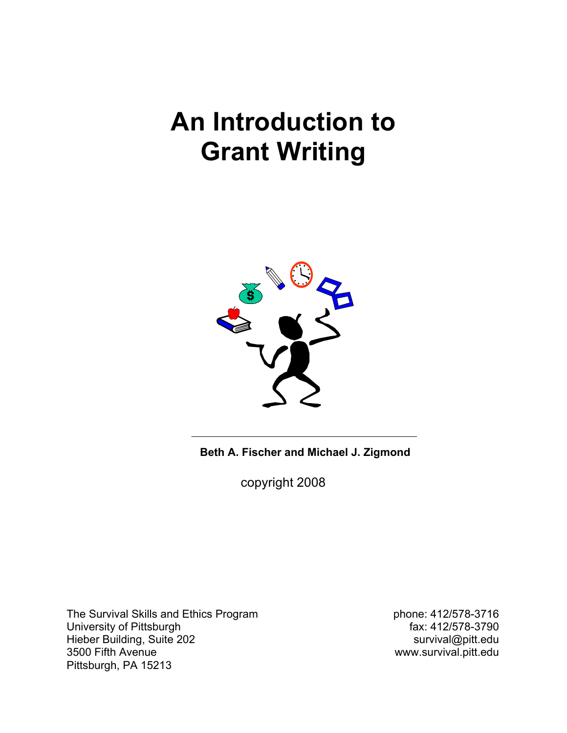# **An Introduction to Grant Writing**



**Beth A. Fischer and Michael J. Zigmond**

copyright 2008

The Survival Skills and Ethics Program phone: 412/578-3716<br>University of Pittsburgh by example of the phone: 412/578-3790 University of Pittsburgh Hieber Building, Suite 202 survival@pitt.edu<br>3500 Fifth Avenue survival.pitt.edu Pittsburgh, PA 15213

www.survival.pitt.edu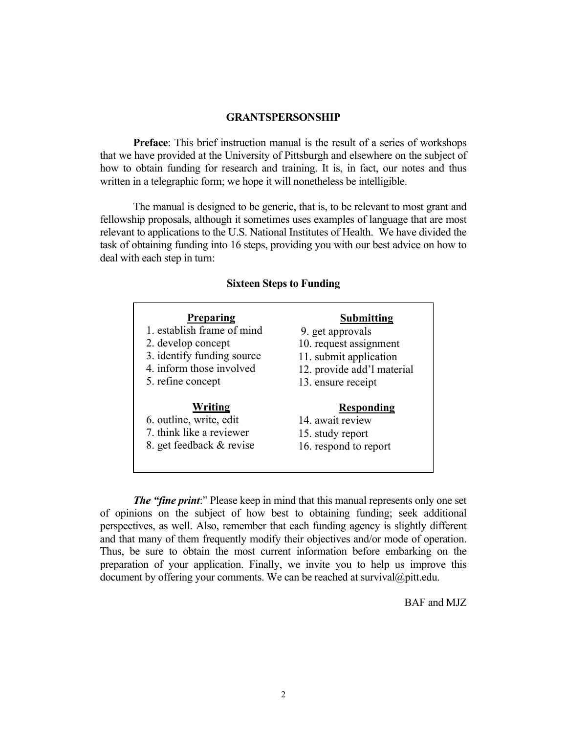#### **GRANTSPERSONSHIP**

**Preface**: This brief instruction manual is the result of a series of workshops that we have provided at the University of Pittsburgh and elsewhere on the subject of how to obtain funding for research and training. It is, in fact, our notes and thus written in a telegraphic form; we hope it will nonetheless be intelligible.

The manual is designed to be generic, that is, to be relevant to most grant and fellowship proposals, although it sometimes uses examples of language that are most relevant to applications to the U.S. National Institutes of Health. We have divided the task of obtaining funding into 16 steps, providing you with our best advice on how to deal with each step in turn:

#### **Sixteen Steps to Funding**

| <b>Preparing</b>           | Submitting                 |
|----------------------------|----------------------------|
| 1. establish frame of mind | 9. get approvals           |
| 2. develop concept         | 10. request assignment     |
| 3. identify funding source | 11. submit application     |
| 4. inform those involved   | 12. provide add'l material |
| 5. refine concept          | 13. ensure receipt         |
| Writing                    | <b>Responding</b>          |
| 6. outline, write, edit    | 14. await review           |
| 7. think like a reviewer   | 15. study report           |
| 8. get feedback & revise   | 16. respond to report      |

*The "fine print*:" Please keep in mind that this manual represents only one set of opinions on the subject of how best to obtaining funding; seek additional perspectives, as well. Also, remember that each funding agency is slightly different and that many of them frequently modify their objectives and/or mode of operation. Thus, be sure to obtain the most current information before embarking on the preparation of your application. Finally, we invite you to help us improve this document by offering your comments. We can be reached at survival@pitt.edu.

BAF and MJZ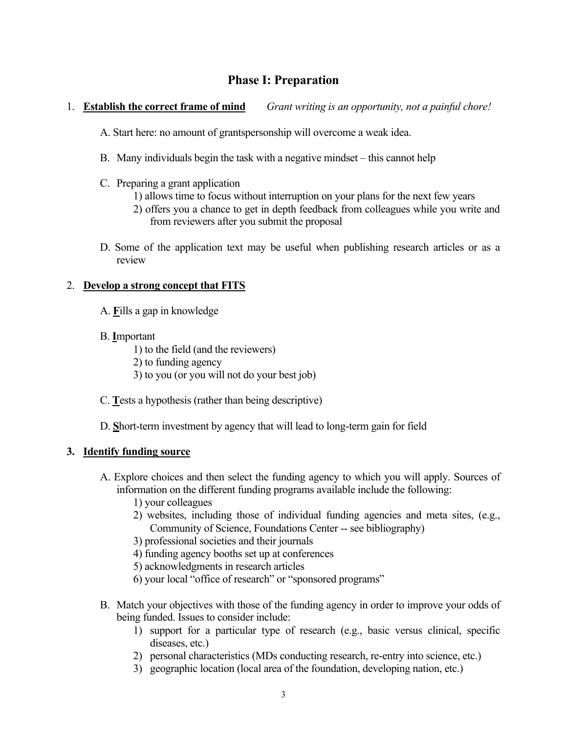# **Phase I: Preparation**

## 1. **Establish the correct frame of mind** *Grant writing is an opportunity, not a painful chore!*

- A. Start here: no amount of grantspersonship will overcome a weak idea.
- B. Many individuals begin the task with a negative mindset this cannot help
- C. Preparing a grant application
	- 1) allows time to focus without interruption on your plans for the next few years
	- 2) offers you a chance to get in depth feedback from colleagues while you write and from reviewers after you submit the proposal
- D. Some of the application text may be useful when publishing research articles or as a review

## 2. **Develop a strong concept that FITS**

- A. **F**ills a gap in knowledge
- B. **I**mportant

1) to the field (and the reviewers) 2) to funding agency 3) to you (or you will not do your best job)

- C. **T**ests a hypothesis (rather than being descriptive)
- D. **S**hort-term investment by agency that will lead to long-term gain for field

## **3. Identify funding source**

- A. Explore choices and then select the funding agency to which you will apply. Sources of information on the different funding programs available include the following:
	- 1) your colleagues
	- 2) websites, including those of individual funding agencies and meta sites, (e.g., Community of Science, Foundations Center -- see bibliography)
	- 3) professional societies and their journals
	- 4) funding agency booths set up at conferences
	- 5) acknowledgments in research articles
	- 6) your local "office of research" or "sponsored programs"
- B. Match your objectives with those of the funding agency in order to improve your odds of being funded. Issues to consider include:
	- 1) support for a particular type of research (e.g., basic versus clinical, specific diseases, etc.)
	- 2) personal characteristics (MDs conducting research, re-entry into science, etc.)
	- 3) geographic location (local area of the foundation, developing nation, etc.)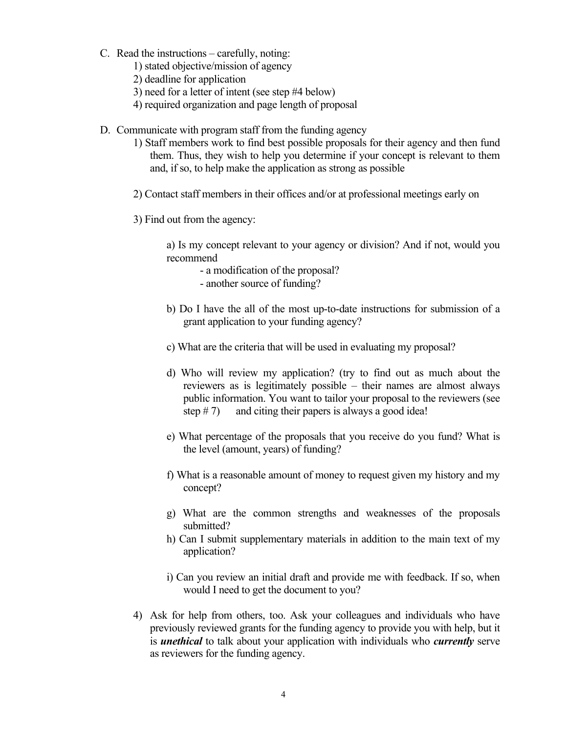- C. Read the instructions carefully, noting:
	- 1) stated objective/mission of agency
	- 2) deadline for application
	- 3) need for a letter of intent (see step #4 below)
	- 4) required organization and page length of proposal
- D. Communicate with program staff from the funding agency
	- 1) Staff members work to find best possible proposals for their agency and then fund them. Thus, they wish to help you determine if your concept is relevant to them and, if so, to help make the application as strong as possible
	- 2) Contact staff members in their offices and/or at professional meetings early on
	- 3) Find out from the agency:

a) Is my concept relevant to your agency or division? And if not, would you recommend

- a modification of the proposal?
- another source of funding?
- b) Do I have the all of the most up-to-date instructions for submission of a grant application to your funding agency?
- c) What are the criteria that will be used in evaluating my proposal?
- d) Who will review my application? (try to find out as much about the reviewers as is legitimately possible – their names are almost always public information. You want to tailor your proposal to the reviewers (see step  $# 7$ ) and citing their papers is always a good idea!
- e) What percentage of the proposals that you receive do you fund? What is the level (amount, years) of funding?
- f) What is a reasonable amount of money to request given my history and my concept?
- g) What are the common strengths and weaknesses of the proposals submitted?
- h) Can I submit supplementary materials in addition to the main text of my application?
- i) Can you review an initial draft and provide me with feedback. If so, when would I need to get the document to you?
- 4) Ask for help from others, too. Ask your colleagues and individuals who have previously reviewed grants for the funding agency to provide you with help, but it is *unethical* to talk about your application with individuals who *currently* serve as reviewers for the funding agency.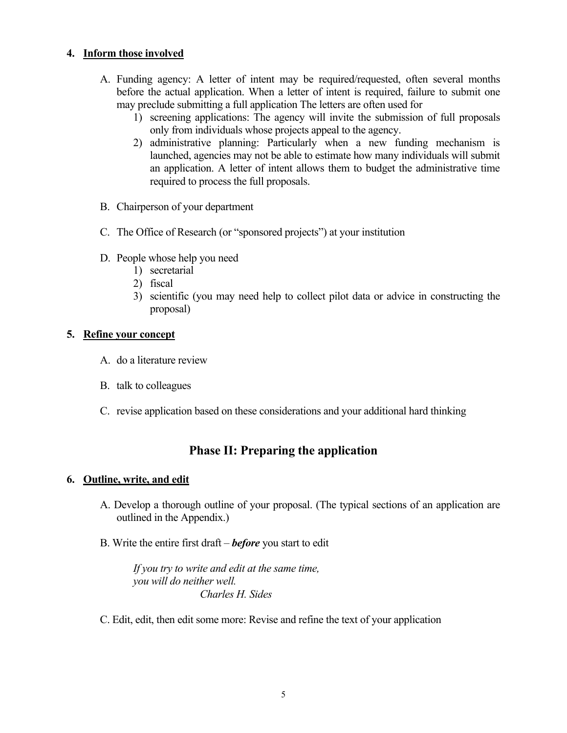## **4. Inform those involved**

- A. Funding agency: A letter of intent may be required/requested, often several months before the actual application. When a letter of intent is required, failure to submit one may preclude submitting a full application The letters are often used for
	- 1) screening applications: The agency will invite the submission of full proposals only from individuals whose projects appeal to the agency.
	- 2) administrative planning: Particularly when a new funding mechanism is launched, agencies may not be able to estimate how many individuals will submit an application. A letter of intent allows them to budget the administrative time required to process the full proposals.
- B. Chairperson of your department
- C. The Office of Research (or "sponsored projects") at your institution
- D. People whose help you need
	- 1) secretarial
	- 2) fiscal
	- 3) scientific (you may need help to collect pilot data or advice in constructing the proposal)

#### **5. Refine your concept**

- A. do a literature review
- B. talk to colleagues
- C. revise application based on these considerations and your additional hard thinking

# **Phase II: Preparing the application**

#### **6. Outline, write, and edit**

- A. Develop a thorough outline of your proposal. (The typical sections of an application are outlined in the Appendix.)
- B. Write the entire first draft *before* you start to edit

*If you try to write and edit at the same time, you will do neither well. Charles H. Sides*

C. Edit, edit, then edit some more: Revise and refine the text of your application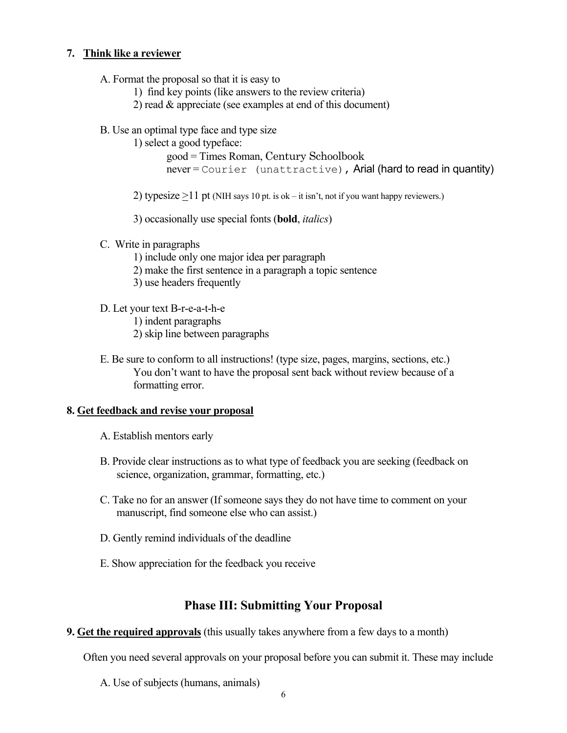## **7. Think like a reviewer**

- A. Format the proposal so that it is easy to
	- 1) find key points (like answers to the review criteria)
	- 2) read & appreciate (see examples at end of this document)
- B. Use an optimal type face and type size
	- 1) select a good typeface:

```
good = Times Roman, Century Schoolbook
never = \text{Counter} (unattractive), Arial (hard to read in quantity)
```
2) typesize  $>11$  pt (NIH says 10 pt. is ok – it isn't, not if you want happy reviewers.)

3) occasionally use special fonts (**bold**, *italics*)

- C. Write in paragraphs
	- 1) include only one major idea per paragraph
	- 2) make the first sentence in a paragraph a topic sentence
	- 3) use headers frequently
- D. Let your text B-r-e-a-t-h-e
	- 1) indent paragraphs
	- 2) skip line between paragraphs
- E. Be sure to conform to all instructions! (type size, pages, margins, sections, etc.) You don't want to have the proposal sent back without review because of a formatting error.

#### **8. Get feedback and revise your proposal**

- A. Establish mentors early
- B. Provide clear instructions as to what type of feedback you are seeking (feedback on science, organization, grammar, formatting, etc.)
- C. Take no for an answer (If someone says they do not have time to comment on your manuscript, find someone else who can assist.)
- D. Gently remind individuals of the deadline
- E. Show appreciation for the feedback you receive

# **Phase III: Submitting Your Proposal**

**9. Get the required approvals** (this usually takes anywhere from a few days to a month)

Often you need several approvals on your proposal before you can submit it. These may include

A. Use of subjects (humans, animals)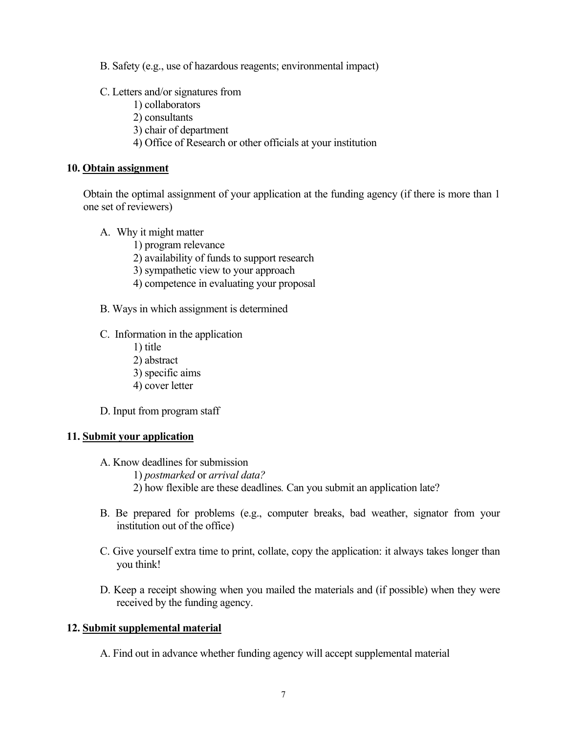B. Safety (e.g., use of hazardous reagents; environmental impact)

- C. Letters and/or signatures from
	- 1) collaborators
	- 2) consultants
	- 3) chair of department
	- 4) Office of Research or other officials at your institution

#### **10. Obtain assignment**

Obtain the optimal assignment of your application at the funding agency (if there is more than 1 one set of reviewers)

- A. Why it might matter
	- 1) program relevance
	- 2) availability of funds to support research
	- 3) sympathetic view to your approach
	- 4) competence in evaluating your proposal
- B. Ways in which assignment is determined
- C. Information in the application
	- 1) title 2) abstract
	- 3) specific aims
	- 4) cover letter
- D. Input from program staff

#### **11. Submit your application**

- A. Know deadlines for submission
	- 1) *postmarked* or *arrival data?*
	- 2) how flexible are these deadlines*.* Can you submit an application late?
- B. Be prepared for problems (e.g., computer breaks, bad weather, signator from your institution out of the office)
- C. Give yourself extra time to print, collate, copy the application: it always takes longer than you think!
- D. Keep a receipt showing when you mailed the materials and (if possible) when they were received by the funding agency.

#### **12. Submit supplemental material**

A. Find out in advance whether funding agency will accept supplemental material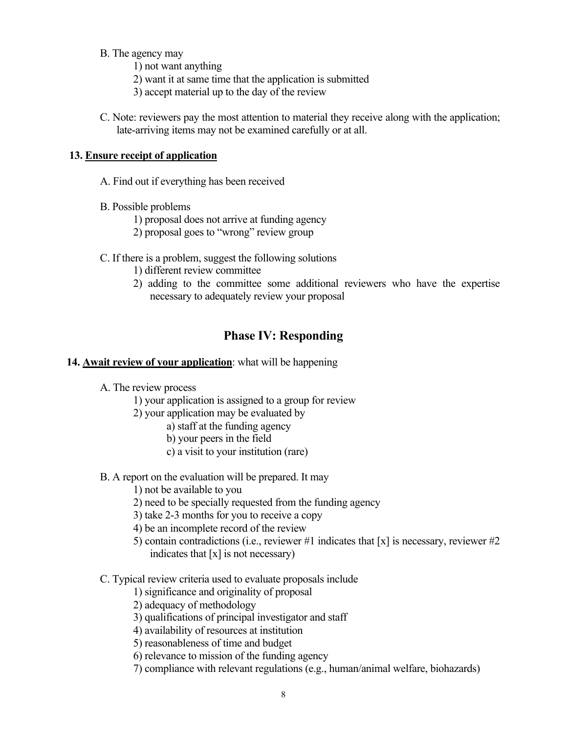B. The agency may

1) not want anything

- 2) want it at same time that the application is submitted
- 3) accept material up to the day of the review
- C. Note: reviewers pay the most attention to material they receive along with the application; late-arriving items may not be examined carefully or at all.

## **13. Ensure receipt of application**

- A. Find out if everything has been received
- B. Possible problems
	- 1) proposal does not arrive at funding agency
	- 2) proposal goes to "wrong" review group
- C. If there is a problem, suggest the following solutions
	- 1) different review committee
	- 2) adding to the committee some additional reviewers who have the expertise necessary to adequately review your proposal

# **Phase IV: Responding**

#### **14. Await review of your application**: what will be happening

- A. The review process
	- 1) your application is assigned to a group for review
	- 2) your application may be evaluated by
		- a) staff at the funding agency
		- b) your peers in the field
		- c) a visit to your institution (rare)
- B. A report on the evaluation will be prepared. It may
	- 1) not be available to you
	- 2) need to be specially requested from the funding agency
	- 3) take 2-3 months for you to receive a copy
	- 4) be an incomplete record of the review
	- 5) contain contradictions (i.e., reviewer #1 indicates that [x] is necessary, reviewer #2 indicates that  $[x]$  is not necessary)
- C. Typical review criteria used to evaluate proposals include
	- 1) significance and originality of proposal
	- 2) adequacy of methodology
	- 3) qualifications of principal investigator and staff
	- 4) availability of resources at institution
	- 5) reasonableness of time and budget
	- 6) relevance to mission of the funding agency
	- 7) compliance with relevant regulations (e.g., human/animal welfare, biohazards)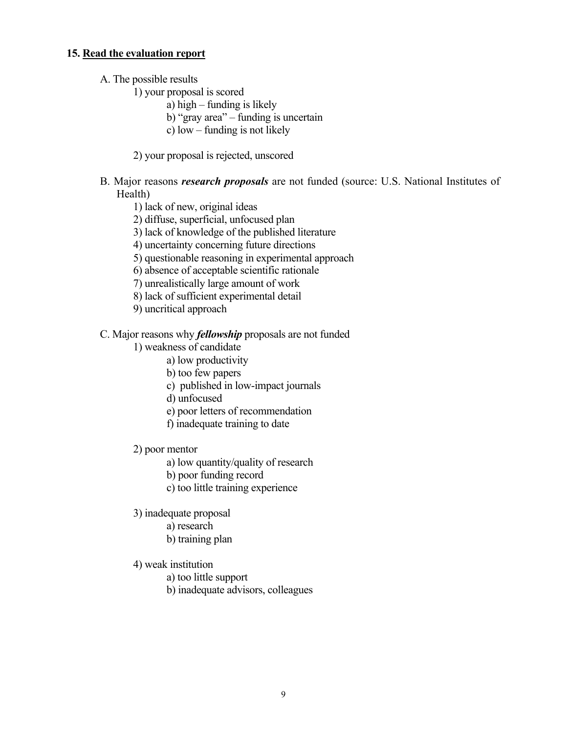#### **15. Read the evaluation report**

- A. The possible results
	- 1) your proposal is scored
		- a) high funding is likely
		- b) "gray area" funding is uncertain
		- c) low funding is not likely
	- 2) your proposal is rejected, unscored
- B. Major reasons *research proposals* are not funded (source: U.S. National Institutes of Health)
	- 1) lack of new, original ideas
	- 2) diffuse, superficial, unfocused plan
	- 3) lack of knowledge of the published literature
	- 4) uncertainty concerning future directions
	- 5) questionable reasoning in experimental approach
	- 6) absence of acceptable scientific rationale
	- 7) unrealistically large amount of work
	- 8) lack of sufficient experimental detail
	- 9) uncritical approach
- C. Major reasons why *fellowship* proposals are not funded
	- 1) weakness of candidate
		- a) low productivity
		- b) too few papers
		- c) published in low-impact journals
		- d) unfocused
		- e) poor letters of recommendation
		- f) inadequate training to date
	- 2) poor mentor
		- a) low quantity/quality of research
		- b) poor funding record
		- c) too little training experience
	- 3) inadequate proposal
		- a) research
		- b) training plan
	- 4) weak institution
		- a) too little support
		- b) inadequate advisors, colleagues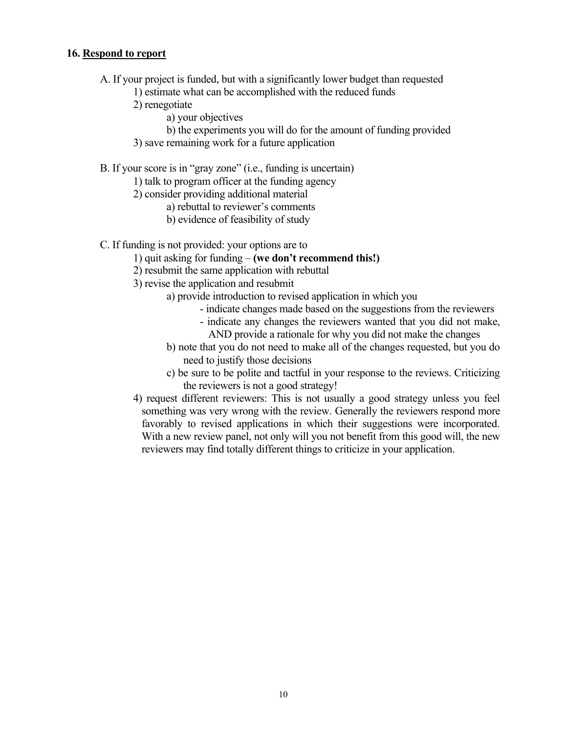## **16. Respond to report**

- A. If your project is funded, but with a significantly lower budget than requested
	- 1) estimate what can be accomplished with the reduced funds
	- 2) renegotiate
		- a) your objectives
		- b) the experiments you will do for the amount of funding provided
	- 3) save remaining work for a future application

B. If your score is in "gray zone" (i.e., funding is uncertain)

- 1) talk to program officer at the funding agency
- 2) consider providing additional material
	- a) rebuttal to reviewer's comments
	- b) evidence of feasibility of study

C. If funding is not provided: your options are to

- 1) quit asking for funding **(we don't recommend this!)**
- 2) resubmit the same application with rebuttal
- 3) revise the application and resubmit
	- a) provide introduction to revised application in which you
		- indicate changes made based on the suggestions from the reviewers
		- indicate any changes the reviewers wanted that you did not make, AND provide a rationale for why you did not make the changes
	- b) note that you do not need to make all of the changes requested, but you do need to justify those decisions
	- c) be sure to be polite and tactful in your response to the reviews. Criticizing the reviewers is not a good strategy!
- 4) request different reviewers: This is not usually a good strategy unless you feel something was very wrong with the review. Generally the reviewers respond more favorably to revised applications in which their suggestions were incorporated. With a new review panel, not only will you not benefit from this good will, the new reviewers may find totally different things to criticize in your application.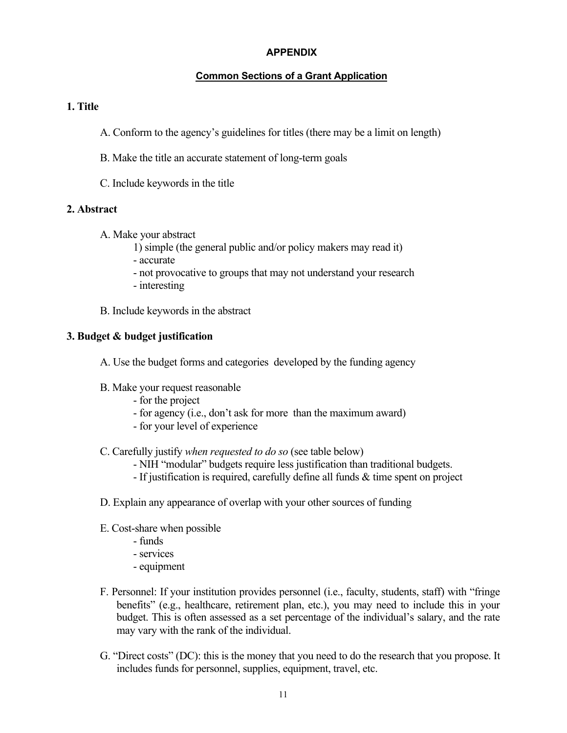## **APPENDIX**

## **Common Sections of a Grant Application**

#### **1. Title**

- A. Conform to the agency's guidelines for titles (there may be a limit on length)
- B. Make the title an accurate statement of long-term goals
- C. Include keywords in the title

## **2. Abstract**

- A. Make your abstract
	- 1) simple (the general public and/or policy makers may read it)
	- accurate
	- not provocative to groups that may not understand your research
	- interesting
- B. Include keywords in the abstract

#### **3. Budget & budget justification**

- A. Use the budget forms and categories developed by the funding agency
- B. Make your request reasonable
	- for the project
	- for agency (i.e., don't ask for more than the maximum award)
	- for your level of experience
- C. Carefully justify *when requested to do so* (see table below)
	- NIH "modular" budgets require less justification than traditional budgets.
	- If justification is required, carefully define all funds & time spent on project
- D. Explain any appearance of overlap with your other sources of funding
- E. Cost-share when possible
	- funds
	- services
	- equipment
- F. Personnel: If your institution provides personnel (i.e., faculty, students, staff) with "fringe benefits" (e.g., healthcare, retirement plan, etc.), you may need to include this in your budget. This is often assessed as a set percentage of the individual's salary, and the rate may vary with the rank of the individual.
- G. "Direct costs" (DC): this is the money that you need to do the research that you propose. It includes funds for personnel, supplies, equipment, travel, etc.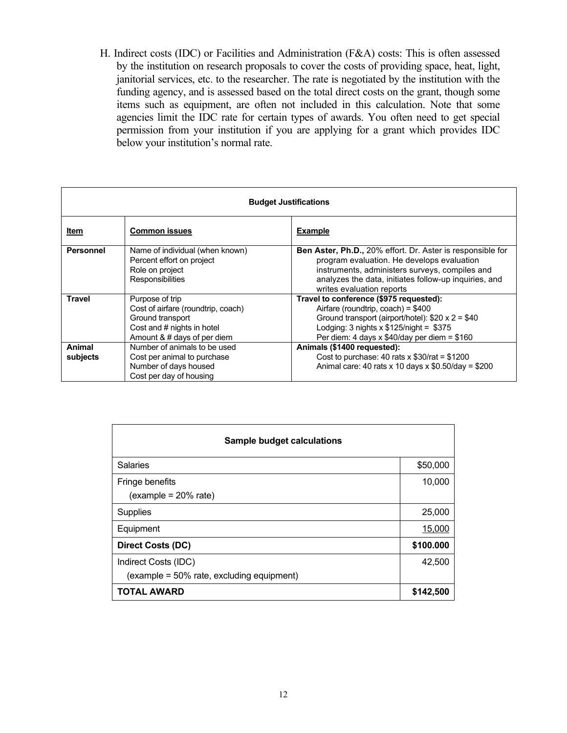H. Indirect costs (IDC) or Facilities and Administration (F&A) costs: This is often assessed by the institution on research proposals to cover the costs of providing space, heat, light, janitorial services, etc. to the researcher. The rate is negotiated by the institution with the funding agency, and is assessed based on the total direct costs on the grant, though some items such as equipment, are often not included in this calculation. Note that some agencies limit the IDC rate for certain types of awards. You often need to get special permission from your institution if you are applying for a grant which provides IDC below your institution's normal rate.

| <b>Budget Justifications</b> |                                                                                                                                        |                                                                                                                                                                                                                                                         |  |
|------------------------------|----------------------------------------------------------------------------------------------------------------------------------------|---------------------------------------------------------------------------------------------------------------------------------------------------------------------------------------------------------------------------------------------------------|--|
| Item                         | <b>Common issues</b>                                                                                                                   | <b>Example</b>                                                                                                                                                                                                                                          |  |
| Personnel                    | Name of individual (when known)<br>Percent effort on project<br>Role on project<br>Responsibilities                                    | <b>Ben Aster, Ph.D., 20% effort. Dr. Aster is responsible for</b><br>program evaluation. He develops evaluation<br>instruments, administers surveys, compiles and<br>analyzes the data, initiates follow-up inquiries, and<br>writes evaluation reports |  |
| <b>Travel</b>                | Purpose of trip<br>Cost of airfare (roundtrip, coach)<br>Ground transport<br>Cost and # nights in hotel<br>Amount & # days of per diem | Travel to conference (\$975 requested):<br>Airfare (roundtrip, coach) = $$400$<br>Ground transport (airport/hotel): $$20 \times 2 = $40$<br>Lodging: $3$ nights $x$ \$125/night = \$375<br>Per diem: 4 days x $$40$ /day per diem = $$160$              |  |
| <b>Animal</b><br>subjects    | Number of animals to be used<br>Cost per animal to purchase<br>Number of days housed<br>Cost per day of housing                        | Animals (\$1400 requested):<br>Cost to purchase: 40 rats $x$ \$30/rat = \$1200<br>Animal care: 40 rats x 10 days x $$0.50$ /day = $$200$                                                                                                                |  |

| <b>Sample budget calculations</b>                                 |           |  |
|-------------------------------------------------------------------|-----------|--|
| <b>Salaries</b>                                                   | \$50,000  |  |
| Fringe benefits<br>$(example = 20\% rate)$                        | 10,000    |  |
| Supplies                                                          | 25,000    |  |
| Equipment                                                         | 15,000    |  |
| <b>Direct Costs (DC)</b>                                          | \$100.000 |  |
| Indirect Costs (IDC)<br>(example = 50% rate, excluding equipment) | 42,500    |  |
| <b>TOTAL AWARD</b>                                                | \$142,500 |  |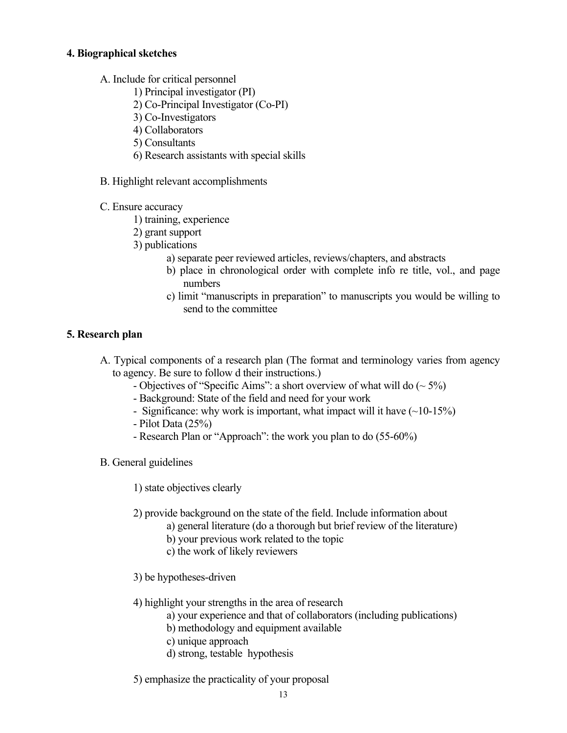## **4. Biographical sketches**

- A. Include for critical personnel
	- 1) Principal investigator (PI)
	- 2) Co-Principal Investigator (Co-PI)
	- 3) Co-Investigators
	- 4) Collaborators
	- 5) Consultants
	- 6) Research assistants with special skills
- B. Highlight relevant accomplishments
- C. Ensure accuracy
	- 1) training, experience
	- 2) grant support
	- 3) publications
		- a) separate peer reviewed articles, reviews/chapters, and abstracts
		- b) place in chronological order with complete info re title, vol., and page numbers
		- c) limit "manuscripts in preparation" to manuscripts you would be willing to send to the committee

## **5. Research plan**

- A. Typical components of a research plan (The format and terminology varies from agency to agency. Be sure to follow d their instructions.)
	- Objectives of "Specific Aims": a short overview of what will do  $(\sim 5\%)$
	- Background: State of the field and need for your work
	- Significance: why work is important, what impact will it have  $(\sim]10-15\%)$
	- Pilot Data (25%)
	- Research Plan or "Approach": the work you plan to do (55-60%)
- B. General guidelines
	- 1) state objectives clearly
	- 2) provide background on the state of the field. Include information about
		- a) general literature (do a thorough but brief review of the literature)
		- b) your previous work related to the topic
		- c) the work of likely reviewers
	- 3) be hypotheses-driven
	- 4) highlight your strengths in the area of research
		- a) your experience and that of collaborators (including publications)
		- b) methodology and equipment available
		- c) unique approach
		- d) strong, testable hypothesis
	- 5) emphasize the practicality of your proposal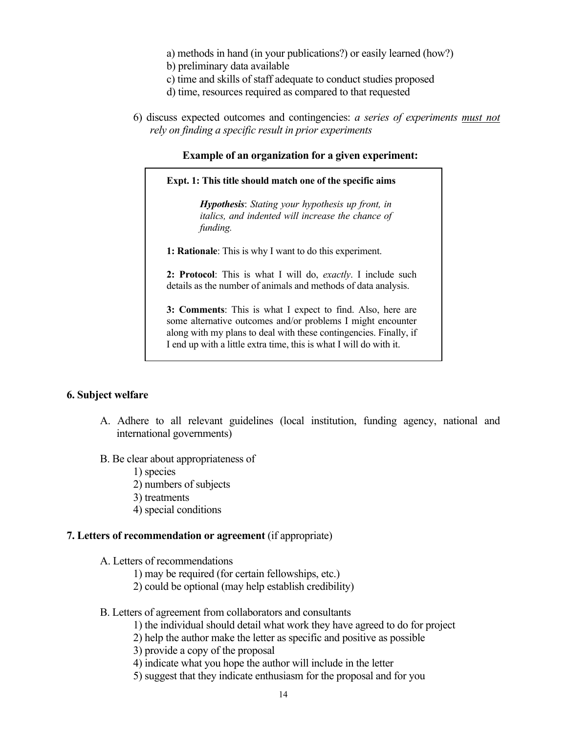a) methods in hand (in your publications?) or easily learned (how?)

- b) preliminary data available
- c) time and skills of staff adequate to conduct studies proposed
- d) time, resources required as compared to that requested
- 6) discuss expected outcomes and contingencies: *a series of experiments must not rely on finding a specific result in prior experiments*

#### **Example of an organization for a given experiment:**

**Expt. 1: This title should match one of the specific aims**

*Hypothesis*: *Stating your hypothesis up front, in italics, and indented will increase the chance of funding.*

**1: Rationale**: This is why I want to do this experiment.

**2: Protocol**: This is what I will do, *exactly*. I include such details as the number of animals and methods of data analysis.

**3: Comments**: This is what I expect to find. Also, here are some alternative outcomes and/or problems I might encounter along with my plans to deal with these contingencies. Finally, if I end up with a little extra time, this is what I will do with it.

#### **6. Subject welfare**

- A. Adhere to all relevant guidelines (local institution, funding agency, national and international governments)
- B. Be clear about appropriateness of
	- 1) species
	- 2) numbers of subjects
	- 3) treatments
	- 4) special conditions

#### **7. Letters of recommendation or agreement** (if appropriate)

- A. Letters of recommendations
	- 1) may be required (for certain fellowships, etc.)
	- 2) could be optional (may help establish credibility)
- B. Letters of agreement from collaborators and consultants
	- 1) the individual should detail what work they have agreed to do for project
	- 2) help the author make the letter as specific and positive as possible
	- 3) provide a copy of the proposal
	- 4) indicate what you hope the author will include in the letter
	- 5) suggest that they indicate enthusiasm for the proposal and for you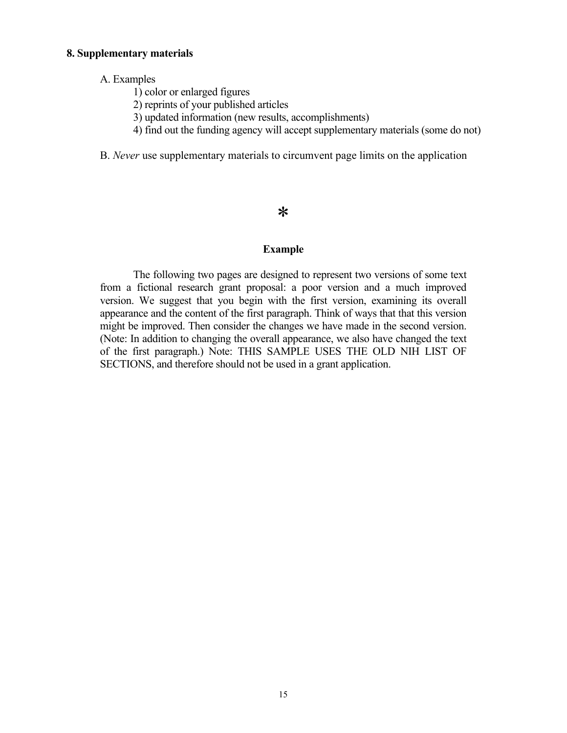#### **8. Supplementary materials**

#### A. Examples

- 1) color or enlarged figures
- 2) reprints of your published articles
- 3) updated information (new results, accomplishments)
- 4) find out the funding agency will accept supplementary materials (some do not)
- B. *Never* use supplementary materials to circumvent page limits on the application

# \*

#### **Example**

The following two pages are designed to represent two versions of some text from a fictional research grant proposal: a poor version and a much improved version. We suggest that you begin with the first version, examining its overall appearance and the content of the first paragraph. Think of ways that that this version might be improved. Then consider the changes we have made in the second version. (Note: In addition to changing the overall appearance, we also have changed the text of the first paragraph.) Note: THIS SAMPLE USES THE OLD NIH LIST OF SECTIONS, and therefore should not be used in a grant application.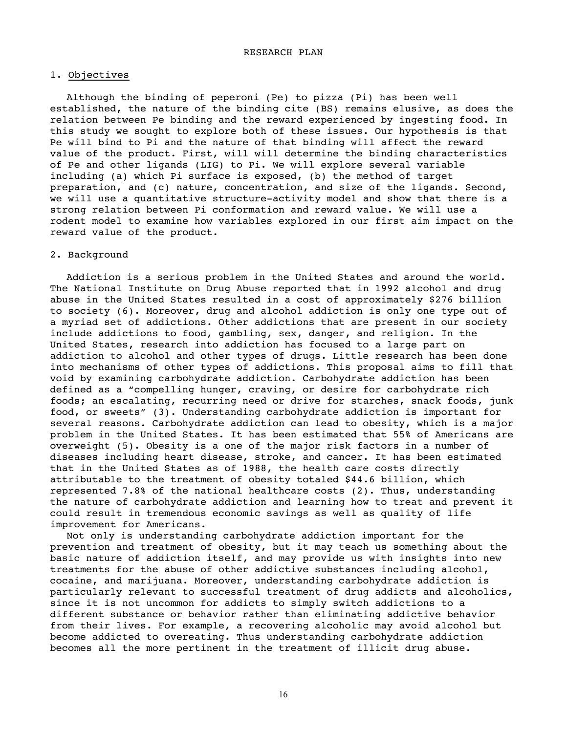#### 1. Objectives

Although the binding of peperoni (Pe) to pizza (Pi) has been well established, the nature of the binding cite (BS) remains elusive, as does the relation between Pe binding and the reward experienced by ingesting food. In this study we sought to explore both of these issues. Our hypothesis is that Pe will bind to Pi and the nature of that binding will affect the reward value of the product. First, will will determine the binding characteristics of Pe and other ligands (LIG) to Pi. We will explore several variable including (a) which Pi surface is exposed, (b) the method of target preparation, and (c) nature, concentration, and size of the ligands. Second, we will use a quantitative structure-activity model and show that there is a strong relation between Pi conformation and reward value. We will use a rodent model to examine how variables explored in our first aim impact on the reward value of the product.

#### 2. Background

Addiction is a serious problem in the United States and around the world. The National Institute on Drug Abuse reported that in 1992 alcohol and drug abuse in the United States resulted in a cost of approximately \$276 billion to society (6). Moreover, drug and alcohol addiction is only one type out of a myriad set of addictions. Other addictions that are present in our society include addictions to food, gambling, sex, danger, and religion. In the United States, research into addiction has focused to a large part on addiction to alcohol and other types of drugs. Little research has been done into mechanisms of other types of addictions. This proposal aims to fill that void by examining carbohydrate addiction. Carbohydrate addiction has been defined as a "compelling hunger, craving, or desire for carbohydrate rich foods; an escalating, recurring need or drive for starches, snack foods, junk food, or sweets" (3). Understanding carbohydrate addiction is important for several reasons. Carbohydrate addiction can lead to obesity, which is a major problem in the United States. It has been estimated that 55% of Americans are overweight (5). Obesity is a one of the major risk factors in a number of diseases including heart disease, stroke, and cancer. It has been estimated that in the United States as of 1988, the health care costs directly attributable to the treatment of obesity totaled \$44.6 billion, which represented 7.8% of the national healthcare costs (2). Thus, understanding the nature of carbohydrate addiction and learning how to treat and prevent it could result in tremendous economic savings as well as quality of life improvement for Americans.

Not only is understanding carbohydrate addiction important for the prevention and treatment of obesity, but it may teach us something about the basic nature of addiction itself, and may provide us with insights into new treatments for the abuse of other addictive substances including alcohol, cocaine, and marijuana. Moreover, understanding carbohydrate addiction is particularly relevant to successful treatment of drug addicts and alcoholics, since it is not uncommon for addicts to simply switch addictions to a different substance or behavior rather than eliminating addictive behavior from their lives. For example, a recovering alcoholic may avoid alcohol but become addicted to overeating. Thus understanding carbohydrate addiction becomes all the more pertinent in the treatment of illicit drug abuse.